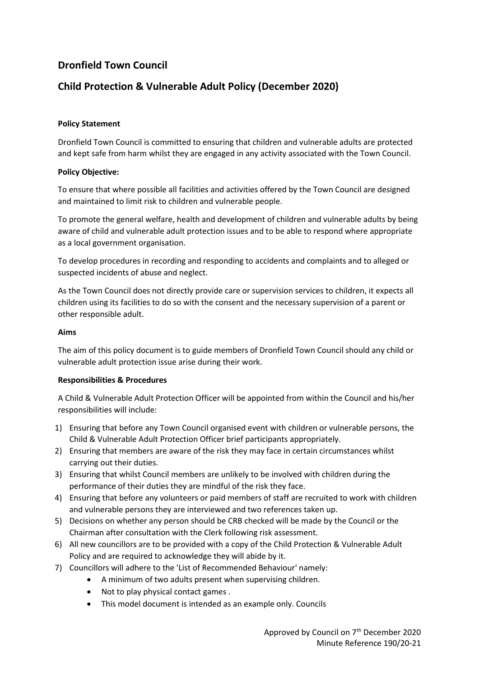# **Dronfield Town Council**

## **Child Protection & Vulnerable Adult Policy (December 2020)**

#### **Policy Statement**

Dronfield Town Council is committed to ensuring that children and vulnerable adults are protected and kept safe from harm whilst they are engaged in any activity associated with the Town Council.

#### **Policy Objective:**

To ensure that where possible all facilities and activities offered by the Town Council are designed and maintained to limit risk to children and vulnerable people.

To promote the general welfare, health and development of children and vulnerable adults by being aware of child and vulnerable adult protection issues and to be able to respond where appropriate as a local government organisation.

To develop procedures in recording and responding to accidents and complaints and to alleged or suspected incidents of abuse and neglect.

As the Town Council does not directly provide care or supervision services to children, it expects all children using its facilities to do so with the consent and the necessary supervision of a parent or other responsible adult.

#### **Aims**

The aim of this policy document is to guide members of Dronfield Town Council should any child or vulnerable adult protection issue arise during their work.

#### **Responsibilities & Procedures**

A Child & Vulnerable Adult Protection Officer will be appointed from within the Council and his/her responsibilities will include:

- 1) Ensuring that before any Town Council organised event with children or vulnerable persons, the Child & Vulnerable Adult Protection Officer brief participants appropriately.
- 2) Ensuring that members are aware of the risk they may face in certain circumstances whilst carrying out their duties.
- 3) Ensuring that whilst Council members are unlikely to be involved with children during the performance of their duties they are mindful of the risk they face.
- 4) Ensuring that before any volunteers or paid members of staff are recruited to work with children and vulnerable persons they are interviewed and two references taken up.
- 5) Decisions on whether any person should be CRB checked will be made by the Council or the Chairman after consultation with the Clerk following risk assessment.
- 6) All new councillors are to be provided with a copy of the Child Protection & Vulnerable Adult Policy and are required to acknowledge they will abide by it.
- 7) Councillors will adhere to the 'List of Recommended Behaviour' namely:
	- A minimum of two adults present when supervising children.
	- Not to play physical contact games.
	- This model document is intended as an example only. Councils